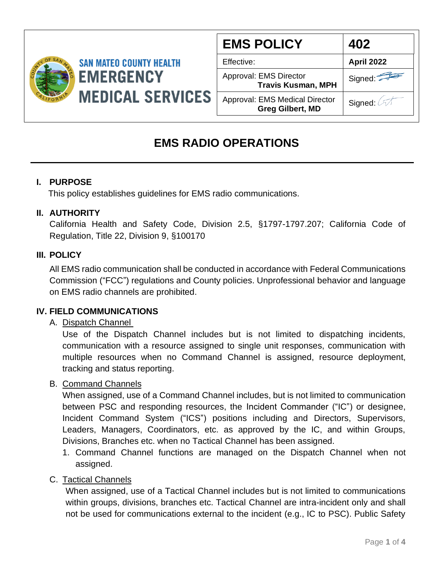

| <b>EMS POLICY</b>                                         | 402                |
|-----------------------------------------------------------|--------------------|
| Effective:                                                | <b>April 2022</b>  |
| Approval: EMS Director<br><b>Travis Kusman, MPH</b>       | Signed:            |
| Approval: EMS Medical Director<br><b>Greg Gilbert, MD</b> | Signed: $\sqrt{ }$ |

# **EMS RADIO OPERATIONS**

#### **I. PURPOSE**

This policy establishes guidelines for EMS radio communications.

# **II. AUTHORITY**

California Health and Safety Code, Division 2.5, §1797-1797.207; California Code of Regulation, Title 22, Division 9, §100170

#### **III. POLICY**

All EMS radio communication shall be conducted in accordance with Federal Communications Commission ("FCC") regulations and County policies. Unprofessional behavior and language on EMS radio channels are prohibited.

#### **IV. FIELD COMMUNICATIONS**

# A. Dispatch Channel

Use of the Dispatch Channel includes but is not limited to dispatching incidents, communication with a resource assigned to single unit responses, communication with multiple resources when no Command Channel is assigned, resource deployment, tracking and status reporting.

#### B. Command Channels

When assigned, use of a Command Channel includes, but is not limited to communication between PSC and responding resources, the Incident Commander ("IC") or designee, Incident Command System ("ICS") positions including and Directors, Supervisors, Leaders, Managers, Coordinators, etc. as approved by the IC, and within Groups, Divisions, Branches etc. when no Tactical Channel has been assigned.

1. Command Channel functions are managed on the Dispatch Channel when not assigned.

#### C. Tactical Channels

When assigned, use of a Tactical Channel includes but is not limited to communications within groups, divisions, branches etc. Tactical Channel are intra-incident only and shall not be used for communications external to the incident (e.g., IC to PSC). Public Safety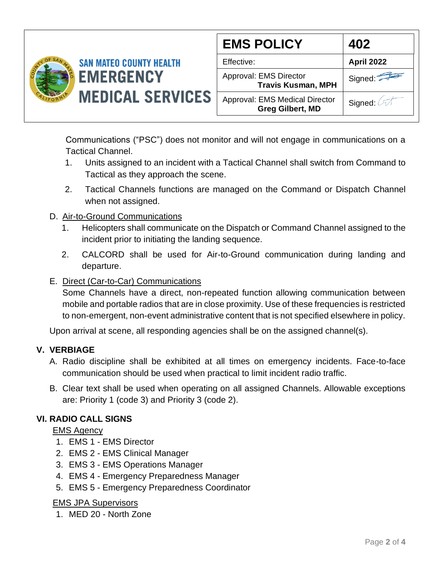

| <b>EMS POLICY</b>                                         | 402        |  |
|-----------------------------------------------------------|------------|--|
| Effective:                                                | April 2022 |  |
| Approval: EMS Director<br><b>Travis Kusman, MPH</b>       | Signed:    |  |
| Approval: EMS Medical Director<br><b>Greg Gilbert, MD</b> | Signed: 2  |  |

Communications ("PSC") does not monitor and will not engage in communications on a Tactical Channel.

- 1. Units assigned to an incident with a Tactical Channel shall switch from Command to Tactical as they approach the scene.
- 2. Tactical Channels functions are managed on the Command or Dispatch Channel when not assigned.

#### D. Air-to-Ground Communications

- 1. Helicopters shall communicate on the Dispatch or Command Channel assigned to the incident prior to initiating the landing sequence.
- 2. CALCORD shall be used for Air-to-Ground communication during landing and departure.

#### E. Direct (Car-to-Car) Communications

Some Channels have a direct, non-repeated function allowing communication between mobile and portable radios that are in close proximity. Use of these frequencies is restricted to non-emergent, non-event administrative content that is not specified elsewhere in policy.

Upon arrival at scene, all responding agencies shall be on the assigned channel(s).

### **V. VERBIAGE**

- A. Radio discipline shall be exhibited at all times on emergency incidents. Face-to-face communication should be used when practical to limit incident radio traffic.
- B. Clear text shall be used when operating on all assigned Channels. Allowable exceptions are: Priority 1 (code 3) and Priority 3 (code 2).

# **VI. RADIO CALL SIGNS**

#### EMS Agency

- 1. EMS 1 EMS Director
- 2. EMS 2 EMS Clinical Manager
- 3. EMS 3 EMS Operations Manager
- 4. EMS 4 Emergency Preparedness Manager
- 5. EMS 5 Emergency Preparedness Coordinator

#### EMS JPA Supervisors

1. MED 20 - North Zone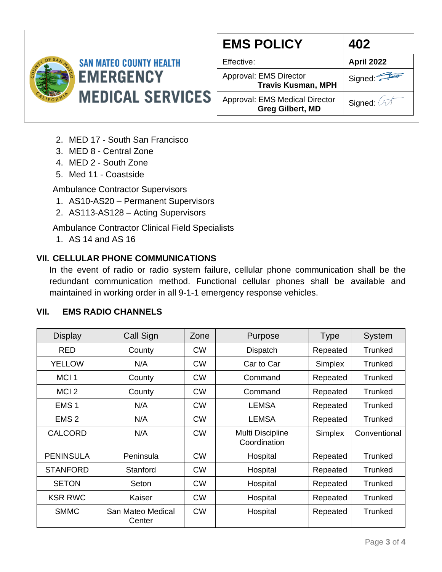

| <b>EMS POLICY</b>                                         | 402               |  |
|-----------------------------------------------------------|-------------------|--|
| Effective:                                                | <b>April 2022</b> |  |
| Approval: EMS Director<br><b>Travis Kusman, MPH</b>       | Signed:           |  |
| Approval: EMS Medical Director<br><b>Greg Gilbert, MD</b> | Signed: 2         |  |
|                                                           |                   |  |

- 2. MED 17 South San Francisco
- 3. MED 8 Central Zone
- 4. MED 2 South Zone
- 5. Med 11 Coastside

Ambulance Contractor Supervisors

- 1. AS10-AS20 Permanent Supervisors
- 2. AS113-AS128 Acting Supervisors

Ambulance Contractor Clinical Field Specialists

1. AS 14 and AS 16

# **VII. CELLULAR PHONE COMMUNICATIONS**

In the event of radio or radio system failure, cellular phone communication shall be the redundant communication method. Functional cellular phones shall be available and maintained in working order in all 9-1-1 emergency response vehicles.

#### **VII. EMS RADIO CHANNELS**

| <b>Display</b>   | Call Sign                   | Zone      | Purpose                          | <b>Type</b>    | System         |
|------------------|-----------------------------|-----------|----------------------------------|----------------|----------------|
| <b>RED</b>       | County                      | <b>CW</b> | Dispatch                         | Repeated       | Trunked        |
| <b>YELLOW</b>    | N/A                         | <b>CW</b> | Car to Car                       | Simplex        | Trunked        |
| MCI <sub>1</sub> | County                      | <b>CW</b> | Command                          | Repeated       | Trunked        |
| MCI <sub>2</sub> | County                      | <b>CW</b> | Command                          | Repeated       | Trunked        |
| EMS <sub>1</sub> | N/A                         | <b>CW</b> | <b>LEMSA</b>                     | Repeated       | Trunked        |
| EMS <sub>2</sub> | N/A                         | <b>CW</b> | <b>LEMSA</b>                     | Repeated       | <b>Trunked</b> |
| <b>CALCORD</b>   | N/A                         | <b>CW</b> | Multi Discipline<br>Coordination | <b>Simplex</b> | Conventional   |
| <b>PENINSULA</b> | Peninsula                   | <b>CW</b> | Hospital                         | Repeated       | Trunked        |
| <b>STANFORD</b>  | Stanford                    | <b>CW</b> | Hospital                         | Repeated       | Trunked        |
| <b>SETON</b>     | Seton                       | <b>CW</b> | Hospital                         | Repeated       | Trunked        |
| <b>KSR RWC</b>   | Kaiser                      | <b>CW</b> | Hospital                         | Repeated       | Trunked        |
| <b>SMMC</b>      | San Mateo Medical<br>Center | <b>CW</b> | Hospital                         | Repeated       | <b>Trunked</b> |